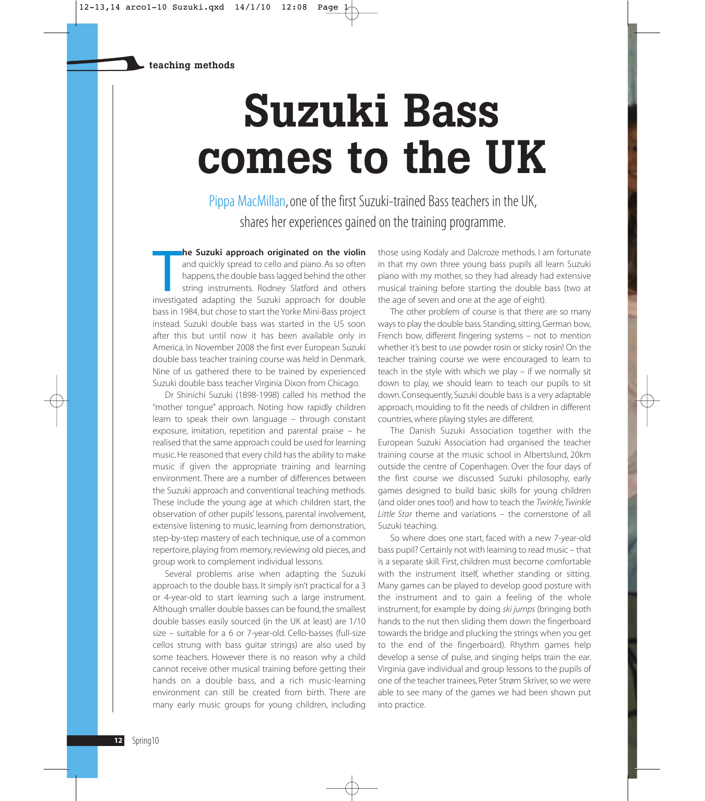## **Suzuki Bass comes to the UK**

Pippa MacMillan, one of the first Suzuki-trained Bass teachers in the UK, shares her experiences gained on the training programme.

**In the Suzuki approach originated on the violin** and quickly spread to cello and piano. As so often happens, the double bass lagged behind the other string instruments. Rodney Slatford and others investigated adapting the **he Suzuki approach originated on the violin** and quickly spread to cello and piano. As so often happens, the double bass lagged behind the other string instruments. Rodney Slatford and others bass in 1984, but chose to start the Yorke Mini-Bass project instead. Suzuki double bass was started in the US soon after this but until now it has been available only in America. In November 2008 the first ever European Suzuki double bass teacher training course was held in Denmark. Nine of us gathered there to be trained by experienced Suzuki double bass teacher Virginia Dixon from Chicago.

Dr Shinichi Suzuki (1898-1998) called his method the "mother tongue" approach. Noting how rapidly children learn to speak their own language – through constant exposure, imitation, repetition and parental praise – he realised that the same approach could be used for learning music. He reasoned that every child has the ability to make music if given the appropriate training and learning environment. There are a number of differences between the Suzuki approach and conventional teaching methods. These include the young age at which children start, the observation of other pupils' lessons, parental involvement, extensive listening to music, learning from demonstration, step-by-step mastery of each technique, use of a common repertoire, playing from memory, reviewing old pieces, and group work to complement individual lessons.

Several problems arise when adapting the Suzuki approach to the double bass. It simply isn't practical for a 3 or 4-year-old to start learning such a large instrument. Although smaller double basses can be found, the smallest double basses easily sourced (in the UK at least) are 1/10 size – suitable for a 6 or 7-year-old. Cello-basses (full-size cellos strung with bass guitar strings) are also used by some teachers. However there is no reason why a child cannot receive other musical training before getting their hands on a double bass, and a rich music-learning environment can still be created from birth. There are many early music groups for young children, including those using Kodaly and Dalcroze methods. I am fortunate in that my own three young bass pupils all learn Suzuki piano with my mother, so they had already had extensive musical training before starting the double bass (two at the age of seven and one at the age of eight).

The other problem of course is that there are so many ways to play the double bass.Standing, sitting, German bow, French bow, different fingering systems – not to mention whether it's best to use powder rosin or sticky rosin! On the teacher training course we were encouraged to learn to teach in the style with which we play – if we normally sit down to play, we should learn to teach our pupils to sit down. Consequently, Suzuki double bass is a very adaptable approach, moulding to fit the needs of children in different countries, where playing styles are different.

The Danish Suzuki Association together with the European Suzuki Association had organised the teacher training course at the music school in Albertslund, 20km outside the centre of Copenhagen. Over the four days of the first course we discussed Suzuki philosophy, early games designed to build basic skills for young children (and older ones too!) and how to teach the Twinkle,Twinkle Little Star theme and variations – the cornerstone of all Suzuki teaching.

So where does one start, faced with a new 7-year-old bass pupil? Certainly not with learning to read music – that is a separate skill. First, children must become comfortable with the instrument itself, whether standing or sitting. Many games can be played to develop good posture with the instrument and to gain a feeling of the whole instrument, for example by doing ski jumps (bringing both hands to the nut then sliding them down the fingerboard towards the bridge and plucking the strings when you get to the end of the fingerboard). Rhythm games help develop a sense of pulse, and singing helps train the ear. Virginia gave individual and group lessons to the pupils of one of the teacher trainees, Peter Strøm Skriver, so we were able to see many of the games we had been shown put into practice.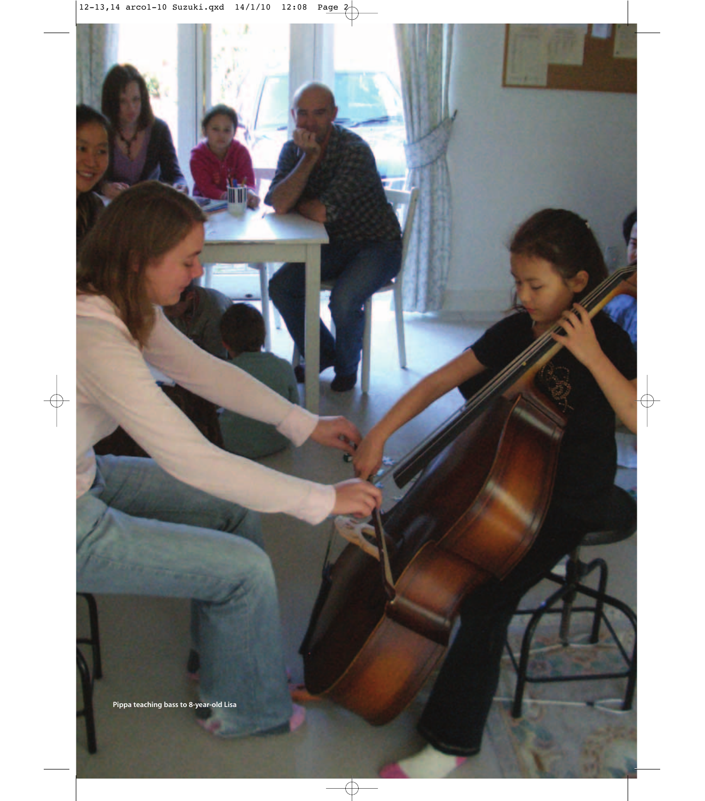**Pippa teaching bass to 8-year-old Lisa**